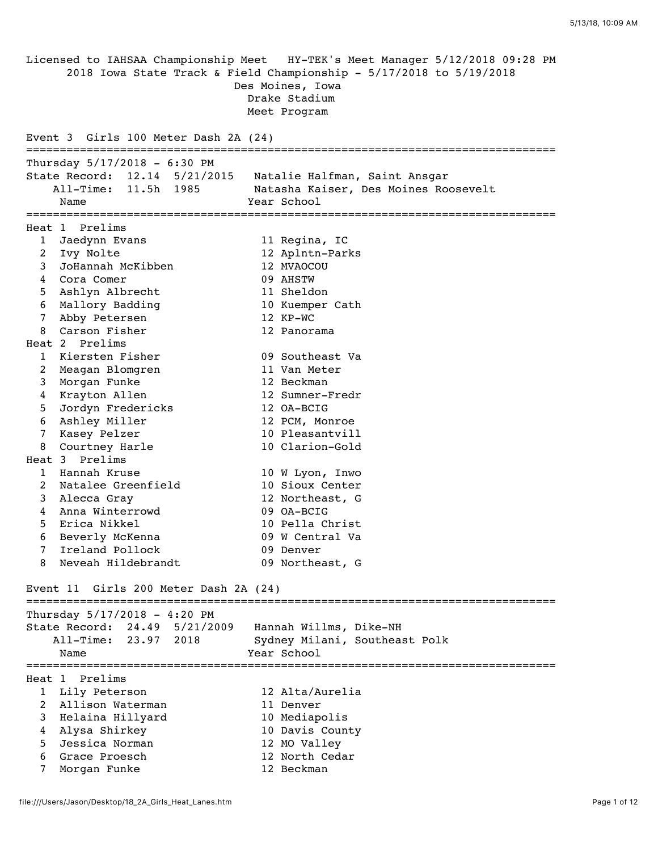Licensed to IAHSAA Championship Meet HY-TEK's Meet Manager 5/12/2018 09:28 PM 2018 Iowa State Track & Field Championship - 5/17/2018 to 5/19/2018 Des Moines, Iowa Drake Stadium Meet Program Event 3 Girls 100 Meter Dash 2A (24) =============================================================================== Thursday 5/17/2018 - 6:30 PM State Record: 12.14 5/21/2015 Natalie Halfman, Saint Ansgar All-Time: 11.5h 1985 Natasha Kaiser, Des Moines Roosevelt Name Year School =============================================================================== Heat 1 Prelims 1 Jaedynn Evans 11 Regina, IC 2 Ivy Nolte 12 Aplntn-Parks 3 JoHannah McKibben 12 MVAOCOU<br>4 Cora Comer 09 AHSTW 4 Cora Comer 5 Ashlyn Albrecht 11 Sheldon 6 Mallory Badding 10 Kuemper Cath 7 Abby Petersen 12 KP-WC 8 Carson Fisher 12 Panorama Heat 2 Prelims 1 Kiersten Fisher 09 Southeast Va 2 Meagan Blomgren 11 Van Meter 3 Morgan Funke 12 Beckman 4 Krayton Allen 12 Sumner-Fredr 5 Jordyn Fredericks 12 OA-BCIG 6 Ashley Miller 12 PCM, Monroe 7 Kasey Pelzer 10 Pleasantvill 8 Courtney Harle 10 Clarion-Gold Heat 3 Prelims 1 Hannah Kruse 10 W Lyon, Inwo 2 Natalee Greenfield 10 Sioux Center 3 Alecca Gray 12 Northeast, G 4 Anna Winterrowd 09 OA-BCIG 5 Erica Nikkel 10 Pella Christ 6 Beverly McKenna 09 W Central Va 7 Ireland Pollock 09 Denver 8 Neveah Hildebrandt 199 Northeast, G Event 11 Girls 200 Meter Dash 2A (24) =============================================================================== Thursday 5/17/2018 - 4:20 PM State Record: 24.49 5/21/2009 Hannah Willms, Dike-NH All-Time: 23.97 2018 Sydney Milani, Southeast Polk Name **Year** School =============================================================================== Heat 1 Prelims 1 Lily Peterson 12 Alta/Aurelia 2 Allison Waterman 11 Denver 3 Helaina Hillyard 10 Mediapolis 4 Alysa Shirkey 10 Davis County 5 Jessica Norman 12 MO Valley 6 Grace Proesch 12 North Cedar 7 Morgan Funke 12 Beckman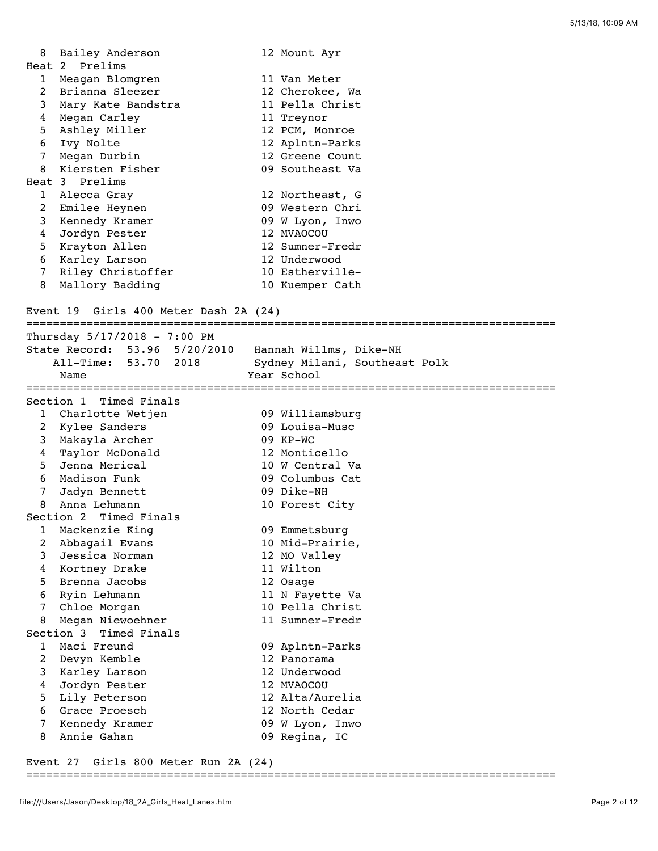| 8              | Bailey Anderson    | 12 Mount Ayr    |
|----------------|--------------------|-----------------|
|                | Heat 2 Prelims     |                 |
| $\mathbf{1}$   | Meagan Blomgren    | 11 Van Meter    |
| $2^{\circ}$    | Brianna Sleezer    | 12 Cherokee, Wa |
| 3              | Mary Kate Bandstra | 11 Pella Christ |
| 4              | Megan Carley       | 11 Treynor      |
| 5              | Ashley Miller      | 12 PCM, Monroe  |
| 6              | Ivy Nolte          | 12 Aplntn-Parks |
| 7 <sup>7</sup> | Megan Durbin       | 12 Greene Count |
| 8              | Kiersten Fisher    | 09 Southeast Va |
|                | Heat 3 Prelims     |                 |
| $\mathbf{1}$   | Alecca Gray        | 12 Northeast, G |
| $2^{\circ}$    | Emilee Heynen      | 09 Western Chri |
| 3              | Kennedy Kramer     | 09 W Lyon, Inwo |
| 4              | Jordyn Pester      | 12 MVAOCOU      |
| 5              | Krayton Allen      | 12 Sumner-Fredr |
| 6              | Karley Larson      | 12 Underwood    |
| $7^{\circ}$    | Riley Christoffer  | 10 Estherville- |
| 8              | Mallory Badding    | 10 Kuemper Cath |
|                |                    |                 |

## Event 19 Girls 400 Meter Dash 2A (24)

|                | Thursday $5/17/2018 - 7:00$ PM |                               |
|----------------|--------------------------------|-------------------------------|
|                | State Record: 53.96 5/20/2010  | Hannah Willms, Dike-NH        |
|                | All-Time: 53.70 2018           | Sydney Milani, Southeast Polk |
|                | Name                           | Year School                   |
|                |                                |                               |
|                | Section 1 Timed Finals         |                               |
| $\mathbf{1}$   | Charlotte Wetjen               | 09 Williamsburg               |
| $\overline{2}$ | Kylee Sanders                  | 09 Louisa-Musc                |
| 3              | Makayla Archer                 | 09 KP-WC                      |
| $\overline{4}$ | Taylor McDonald                | 12 Monticello                 |
| 5              | Jenna Merical                  | 10 W Central Va               |
| 6              | Madison Funk                   | 09 Columbus Cat               |
| $7^{\circ}$    | Jadyn Bennett                  | 09 Dike-NH                    |
| 8              | Anna Lehmann                   | 10 Forest City                |
|                | Section 2 Timed Finals         |                               |
| $\mathbf{1}$   | Mackenzie King                 | 09 Emmetsburg                 |
| 2              | Abbagail Evans                 | 10 Mid-Prairie,               |
| 3              | Jessica Norman                 | 12 MO Valley                  |
| 4              | Kortney Drake                  | 11 Wilton                     |
| 5.             | Brenna Jacobs                  | 12 Osage                      |
| 6              | Ryin Lehmann                   | 11 N Fayette Va               |
| 7              | Chloe Morgan                   | 10 Pella Christ               |
| 8              | Megan Niewoehner               | 11 Sumner-Fredr               |
|                | Section 3 Timed Finals         |                               |
| $\mathbf{1}$   | Maci Freund                    | 09 Aplntn-Parks               |
| 2              | Devyn Kemble                   | 12 Panorama                   |
| 3              | Karley Larson                  | 12 Underwood                  |
| 4              | Jordyn Pester                  | 12 MVAOCOU                    |
| 5              | Lily Peterson                  | 12 Alta/Aurelia               |
| 6              | Grace Proesch                  | 12 North Cedar                |
| 7              | Kennedy Kramer                 | 09 W Lyon, Inwo               |
| 8              | Annie Gahan                    | 09 Regina, IC                 |

Event 27 Girls 800 Meter Run 2A (24)

## ===============================================================================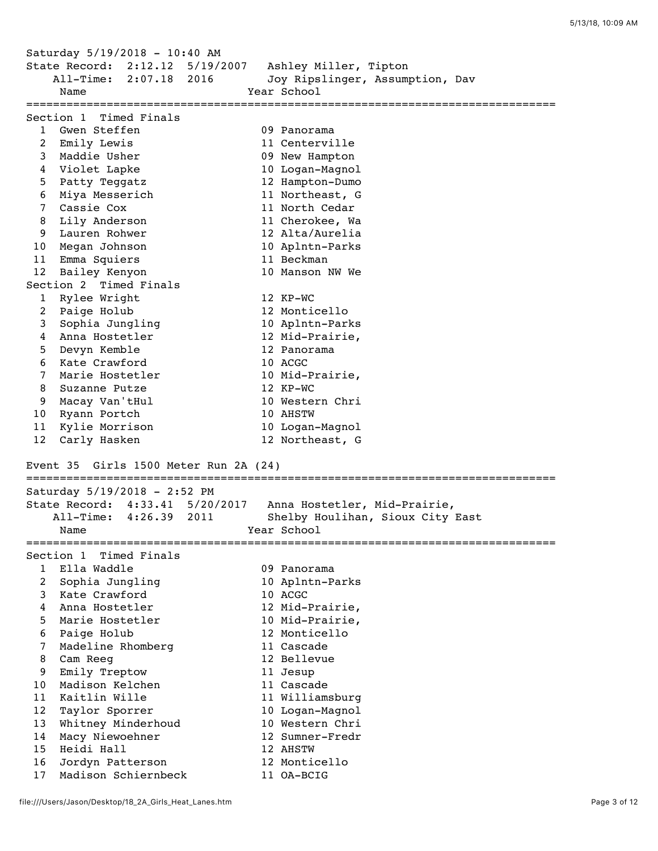Saturday 5/19/2018 - 10:40 AM State Record: 2:12.12 5/19/2007 Ashley Miller, Tipton All-Time: 2:07.18 2016 Joy Ripslinger, Assumption, Dav Name **Year** School =============================================================================== Section 1 Timed Finals 1 Gwen Steffen 09 Panorama 2 Emily Lewis 11 Centerville 3 Maddie Usher 09 New Hampton 4 Violet Lapke 10 Logan-Magnol 5 Patty Teggatz 12 Hampton-Dumo 6 Miya Messerich 11 Northeast, G 7 Cassie Cox 11 North Cedar 8 Lily Anderson 11 Cherokee, Wa 9 Lauren Rohwer 12 Alta/Aurelia 10 Megan Johnson 10 Aplntn-Parks 11 Emma Squiers 11 Beckman 12 Bailey Kenyon 10 Manson NW We Section 2 Timed Finals 1 Rylee Wright 12 KP-WC 2 Paige Holub 12 Monticello 3 Sophia Jungling 10 Aplntn-Parks 4 Anna Hostetler 12 Mid-Prairie, 5 Devyn Kemble 12 Panorama 6 Kate Crawford 10 ACGC 7 Marie Hostetler 10 Mid-Prairie, 8 Suzanne Putze 12 KP-WC 9 Macay Van'tHul 10 Western Chri 10 Ryann Portch 10 AHSTW 11 Kylie Morrison 10 Logan-Magnol 12 Carly Hasken 12 Northeast, G Event 35 Girls 1500 Meter Run 2A (24) =============================================================================== Saturday 5/19/2018 - 2:52 PM State Record: 4:33.41 5/20/2017 Anna Hostetler, Mid-Prairie, All-Time: 4:26.39 2011 Shelby Houlihan, Sioux City East Name **Year** School =============================================================================== Section 1 Timed Finals 1 Ella Waddle 09 Panorama 2 Sophia Jungling 10 Aplntn-Parks 3 Kate Crawford 10 ACGC 4 Anna Hostetler 12 Mid-Prairie, 5 Marie Hostetler 10 Mid-Prairie, 6 Paige Holub 12 Monticello 7 Madeline Rhomberg 11 Cascade 8 Cam Reeg 12 Bellevue 9 Emily Treptow 11 Jesup 10 Madison Kelchen 11 Cascade 11 Kaitlin Wille 11 Williamsburg 12 Taylor Sporrer 10 Logan-Magnol 13 Whitney Minderhoud 10 Western Chri 14 Macy Niewoehner 12 Sumner-Fredr 15 Heidi Hall 12 AHSTW 16 Jordyn Patterson 12 Monticello

17 Madison Schiernbeck 11 OA-BCIG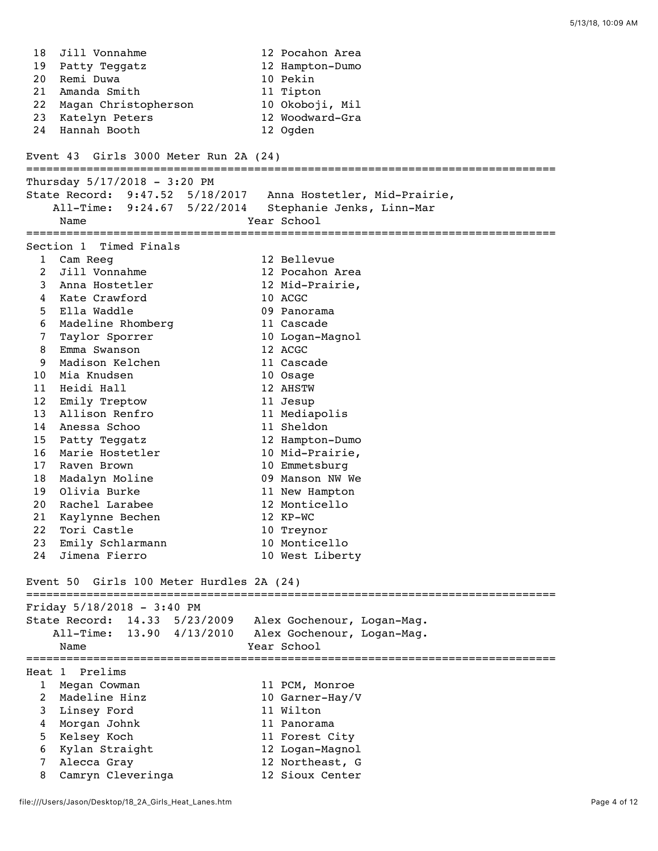18 Jill Vonnahme 12 Pocahon Area<br>
19 Patty Teggatz 12 Hampton-Dumo<br>
10 Pekin<br>
11 Tipton 19 Patty Teggatz 12 Hampton-Dumo 20 Remi Duwa 10 Pekin 21 Amanda Smith 11 Tipton 22 Magan Christopherson 10 Okoboji, Mil 23 Katelyn Peters 12 Woodward-Gra 24 Hannah Booth 12 Ogden Event 43 Girls 3000 Meter Run 2A (24) =============================================================================== Thursday 5/17/2018 - 3:20 PM State Record: 9:47.52 5/18/2017 Anna Hostetler, Mid-Prairie, All-Time: 9:24.67 5/22/2014 Stephanie Jenks, Linn-Mar Name Year School =============================================================================== Section 1 Timed Finals 1 Cam Reeg 12 Bellevue 2 Jill Vonnahme 12 Pocahon Area 3 Anna Hostetler 12 Mid-Prairie, 4 Kate Crawford 10 ACGC 5 Ella Waddle 09 Panorama 6 Madeline Rhomberg 11 Cascade 7 Taylor Sporrer 10 Logan-Magnol 8 Emma Swanson 12 ACGC 9 Madison Kelchen 11 Cascade 10 Mia Knudsen 10 Osage 11 Heidi Hall 12 AHSTW 12 Emily Treptow 11 Jesup 13 Allison Renfro 11 Mediapolis 14 Anessa Schoo 11 Sheldon 15 Patty Teggatz 12 Hampton-Dumo 16 Marie Hostetler 10 Mid-Prairie, 17 Raven Brown 10 Emmetsburg 18 Madalyn Moline 09 Manson NW We 19 Olivia Burke 11 New Hampton 20 Rachel Larabee 12 Monticello 21 Kaylynne Bechen 12 KP-WC 22 Tori Castle 10 Treynor 23 Emily Schlarmann 10 Monticello 24 Jimena Fierro 10 West Liberty Event 50 Girls 100 Meter Hurdles 2A (24) =============================================================================== Friday 5/18/2018 - 3:40 PM State Record: 14.33 5/23/2009 Alex Gochenour, Logan-Mag. All-Time: 13.90 4/13/2010 Alex Gochenour, Logan-Mag. Name Year School =============================================================================== Heat 1 Prelims 1 Megan Cowman 11 PCM, Monroe 2 Madeline Hinz 10 Garner-Hay/V 3 Linsey Ford 11 Wilton 4 Morgan Johnk 11 Panorama 5 Kelsey Koch 11 Forest City 6 Kylan Straight 12 Logan-Magnol 7 Alecca Gray 12 Northeast, G 8 Camryn Cleveringa 12 Sioux Center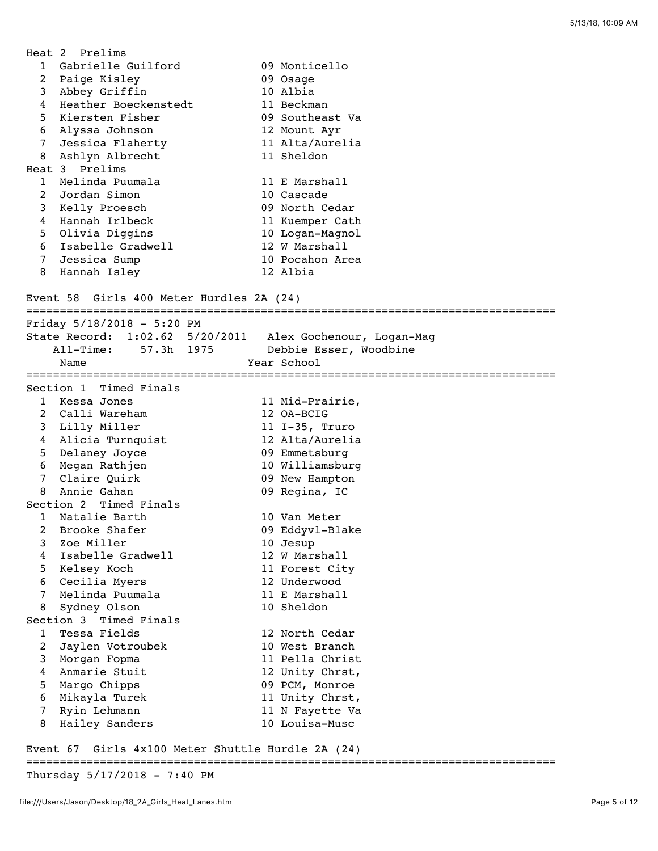|                     | Heat 2 Prelims                           |                                                           |
|---------------------|------------------------------------------|-----------------------------------------------------------|
|                     | 1 Gabrielle Guilford                     | 09 Monticello                                             |
| $\overline{a}$      | Paige Kisley                             | 09 Osage                                                  |
| 3                   | Abbey Griffin                            | 10 Albia                                                  |
| 4                   | Heather Boeckenstedt                     | 11 Beckman                                                |
| 5                   | Kiersten Fisher                          | 09 Southeast Va                                           |
| 6                   | Alyssa Johnson                           | 12 Mount Ayr                                              |
| 7                   | Jessica Flaherty                         | 11 Alta/Aurelia                                           |
| 8                   | Ashlyn Albrecht                          | 11 Sheldon                                                |
|                     | Heat 3 Prelims                           |                                                           |
| $\mathbf{1}$        | Melinda Puumala                          | 11 E Marshall                                             |
| $\overline{2}$      | Jordan Simon                             | 10 Cascade                                                |
| 3                   | Kelly Proesch                            | 09 North Cedar                                            |
| 4                   | Hannah Irlbeck                           | 11 Kuemper Cath                                           |
| 5                   | Olivia Diggins                           | 10 Logan-Magnol                                           |
| 6                   | Isabelle Gradwell                        | 12 W Marshall                                             |
| 7                   | Jessica Sump                             | 10 Pocahon Area                                           |
| 8                   | Hannah Isley                             | 12 Albia                                                  |
|                     | Event 58 Girls 400 Meter Hurdles 2A (24) |                                                           |
|                     |                                          |                                                           |
|                     | Friday $5/18/2018 - 5:20$ PM             |                                                           |
|                     |                                          | State Record: 1:02.62 5/20/2011 Alex Gochenour, Logan-Mag |
|                     | All-Time: 57.3h 1975                     | Debbie Esser, Woodbine                                    |
|                     | Name                                     | Year School                                               |
|                     |                                          |                                                           |
|                     | Section 1 Timed Finals                   |                                                           |
| $\mathbf{1}$        | Kessa Jones                              | 11 Mid-Prairie,                                           |
| 2                   | Calli Wareham                            | 12 OA-BCIG                                                |
|                     | 3 Lilly Miller<br>4 Alicia Turnquist     | 11 I-35, Truro<br>12 Alta/Aurelia                         |
| 5                   | Delaney Joyce                            | 09 Emmetsburg                                             |
| 6                   | Megan Rathjen                            | 10 Williamsburg                                           |
| 7                   | Claire Quirk                             | 09 New Hampton                                            |
| 8                   | Annie Gahan                              | 09 Regina, IC                                             |
|                     | Section 2 Timed Finals                   |                                                           |
| 1                   | Natalie Barth                            | 10 Van Meter                                              |
|                     | 2 Brooke Shafer                          | 09 Eddyvl-Blake                                           |
| 3                   | Zoe Miller                               | 10 Jesup                                                  |
| 4                   | Isabelle Gradwell                        | 12 W Marshall                                             |
| 5                   | Kelsey Koch                              | 11 Forest City                                            |
| 6                   | Cecilia Myers                            | 12 Underwood                                              |
| 7                   | Melinda Puumala                          | 11 E Marshall                                             |
| 8                   |                                          | 10 Sheldon                                                |
|                     |                                          |                                                           |
|                     | Sydney Olson                             |                                                           |
| 1                   | Section 3 Timed Finals<br>Tessa Fields   | 12 North Cedar                                            |
|                     |                                          | 10 West Branch                                            |
| $\overline{c}$<br>3 | Jaylen Votroubek<br>Morgan Fopma         | 11 Pella Christ                                           |
| 4                   | Anmarie Stuit                            | 12 Unity Chrst,                                           |
| 5                   | Margo Chipps                             | 09 PCM, Monroe                                            |
| 6                   | Mikayla Turek                            | 11 Unity Chrst,                                           |
| 7                   | Ryin Lehmann                             | 11 N Fayette Va                                           |
| 8                   | Hailey Sanders                           | 10 Louisa-Musc                                            |

## Event 67 Girls 4x100 Meter Shuttle Hurdle 2A (24)

===============================================================================

Thursday 5/17/2018 - 7:40 PM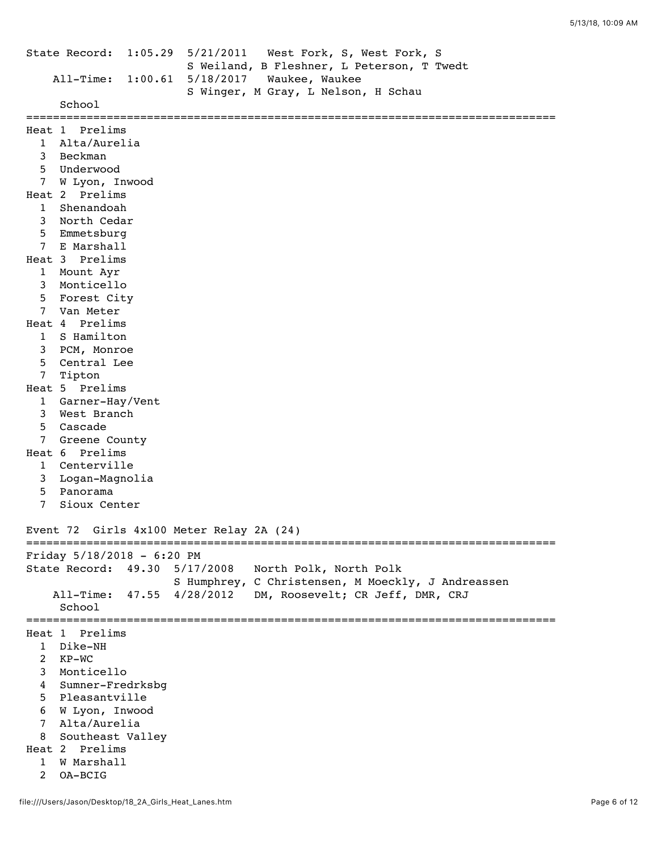```
State Record: 1:05.29 5/21/2011 West Fork, S, West Fork, S 
                         S Weiland, B Fleshner, L Peterson, T Twedt 
     All-Time: 1:00.61 5/18/2017 Waukee, Waukee 
                         S Winger, M Gray, L Nelson, H Schau 
      School 
===============================================================================
Heat 1 Prelims
  1 Alta/Aurelia 
   3 Beckman 
   5 Underwood 
  7 W Lyon, Inwood 
Heat 2 Prelims
  1 Shenandoah 
   3 North Cedar 
   5 Emmetsburg 
  7 E Marshall 
Heat 3 Prelims
   1 Mount Ayr 
   3 Monticello 
   5 Forest City 
   7 Van Meter 
Heat 4 Prelims
  1 S Hamilton 
   3 PCM, Monroe 
   5 Central Lee 
  7 Tipton 
Heat 5 Prelims
   1 Garner-Hay/Vent 
   3 West Branch 
   5 Cascade 
   7 Greene County 
Heat 6 Prelims
   1 Centerville 
   3 Logan-Magnolia 
   5 Panorama 
   7 Sioux Center 
Event 72 Girls 4x100 Meter Relay 2A (24)
===============================================================================
Friday 5/18/2018 - 6:20 PM
State Record: 49.30 5/17/2008 North Polk, North Polk 
                       S Humphrey, C Christensen, M Moeckly, J Andreassen
     All-Time: 47.55 4/28/2012 DM, Roosevelt; CR Jeff, DMR, CRJ 
      School 
===============================================================================
Heat 1 Prelims
   1 Dike-NH 
   2 KP-WC 
   3 Monticello 
   4 Sumner-Fredrksbg 
   5 Pleasantville 
   6 W Lyon, Inwood 
   7 Alta/Aurelia 
  8 Southeast Valley 
Heat 2 Prelims
  1 W Marshall 
   2 OA-BCIG
```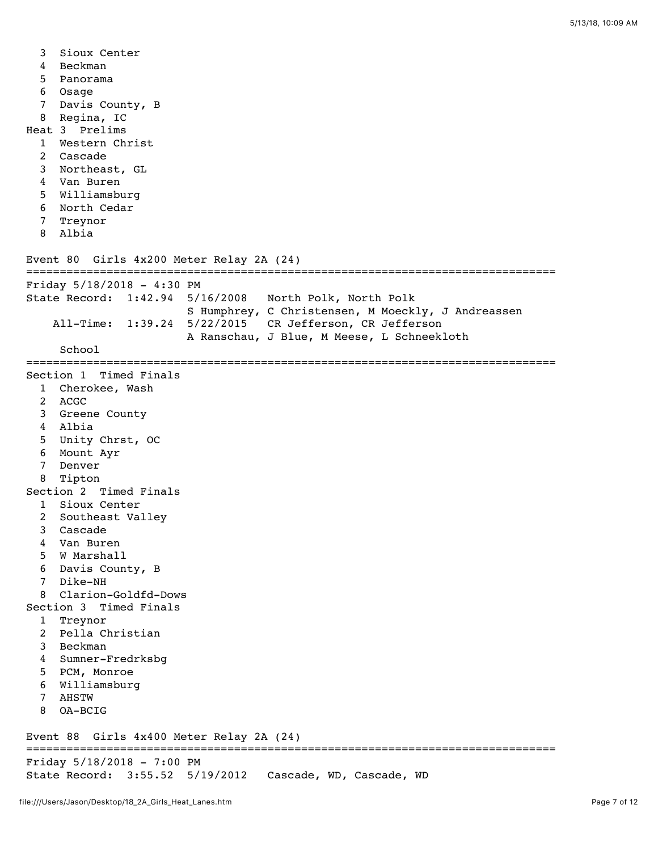3 Sioux Center 4 Beckman 5 Panorama 6 Osage 7 Davis County, B 8 Regina, IC Heat 3 Prelims 1 Western Christ 2 Cascade 3 Northeast, GL 4 Van Buren 5 Williamsburg 6 North Cedar 7 Treynor 8 Albia Event 80 Girls 4x200 Meter Relay 2A (24) =============================================================================== Friday 5/18/2018 - 4:30 PM State Record: 1:42.94 5/16/2008 North Polk, North Polk S Humphrey, C Christensen, M Moeckly, J Andreassen All-Time: 1:39.24 5/22/2015 CR Jefferson, CR Jefferson A Ranschau, J Blue, M Meese, L Schneekloth School =============================================================================== Section 1 Timed Finals 1 Cherokee, Wash 2 ACGC 3 Greene County 4 Albia 5 Unity Chrst, OC 6 Mount Ayr 7 Denver 8 Tipton Section 2 Timed Finals 1 Sioux Center 2 Southeast Valley 3 Cascade 4 Van Buren 5 W Marshall 6 Davis County, B 7 Dike-NH 8 Clarion-Goldfd-Dows Section 3 Timed Finals 1 Treynor 2 Pella Christian 3 Beckman 4 Sumner-Fredrksbg 5 PCM, Monroe 6 Williamsburg 7 AHSTW 8 OA-BCIG Event 88 Girls 4x400 Meter Relay 2A (24) =============================================================================== Friday 5/18/2018 - 7:00 PM State Record: 3:55.52 5/19/2012 Cascade, WD, Cascade, WD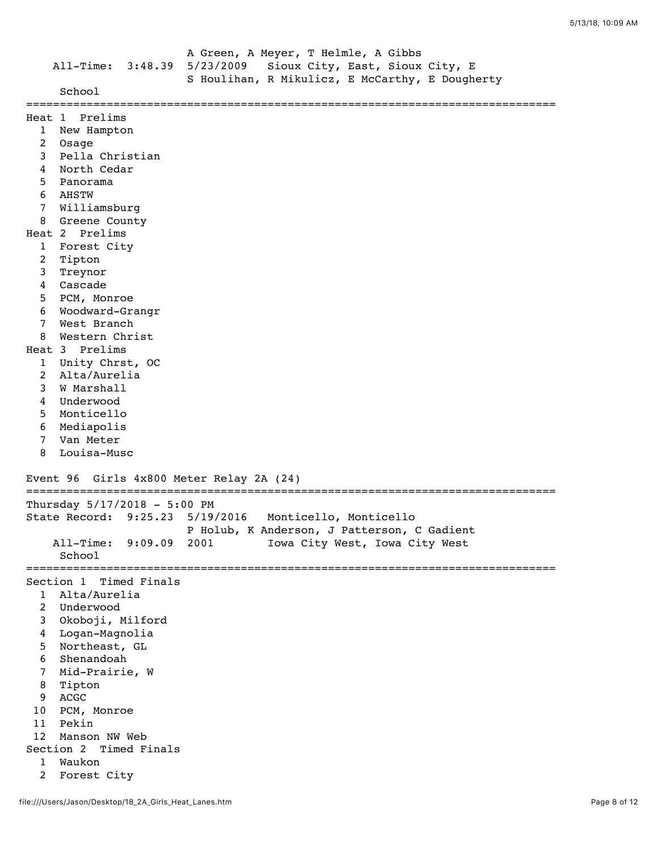|                | All-Time: 3:48.39               | 5/23/2009                       | A Green, A Meyer, T Helmle, A Gibbs<br>Sioux City, East, Sioux City, E<br>S Houlihan, R Mikulicz, E McCarthy, E Dougherty |
|----------------|---------------------------------|---------------------------------|---------------------------------------------------------------------------------------------------------------------------|
|                | School                          |                                 |                                                                                                                           |
|                | Heat 1 Prelims                  |                                 |                                                                                                                           |
| $\mathbf{1}$   | New Hampton                     |                                 |                                                                                                                           |
| 2              | Osage                           |                                 |                                                                                                                           |
| 3              | Pella Christian                 |                                 |                                                                                                                           |
| 4              | North Cedar                     |                                 |                                                                                                                           |
| 5              | Panorama                        |                                 |                                                                                                                           |
| 6              | AHSTW                           |                                 |                                                                                                                           |
| 7              | Williamsburg                    |                                 |                                                                                                                           |
| 8              | Greene County                   |                                 |                                                                                                                           |
|                | Heat 2 Prelims                  |                                 |                                                                                                                           |
| 1              | Forest City                     |                                 |                                                                                                                           |
| $\overline{c}$ | Tipton                          |                                 |                                                                                                                           |
| 3              | Treynor                         |                                 |                                                                                                                           |
| 4              | Cascade                         |                                 |                                                                                                                           |
| 5              | PCM, Monroe                     |                                 |                                                                                                                           |
| 6<br>7         | Woodward-Grangr<br>West Branch  |                                 |                                                                                                                           |
| 8              | Western Christ                  |                                 |                                                                                                                           |
|                | Heat 3 Prelims                  |                                 |                                                                                                                           |
| $\mathbf{1}$   | Unity Chrst, OC                 |                                 |                                                                                                                           |
| 2              | Alta/Aurelia                    |                                 |                                                                                                                           |
| 3              | W Marshall                      |                                 |                                                                                                                           |
| 4              | Underwood                       |                                 |                                                                                                                           |
| 5              | Monticello                      |                                 |                                                                                                                           |
| 6              | Mediapolis                      |                                 |                                                                                                                           |
| 7              | Van Meter                       |                                 |                                                                                                                           |
| 8              | Louisa-Musc                     |                                 |                                                                                                                           |
|                | Event 96                        |                                 |                                                                                                                           |
|                |                                 | Girls 4x800 Meter Relay 2A (24) |                                                                                                                           |
|                | Thursday 5/17/2018 - 5:00 PM    |                                 |                                                                                                                           |
|                | State Record: 9:25.23 5/19/2016 |                                 | Monticello, Monticello                                                                                                    |
|                |                                 |                                 | P Holub, K Anderson, J Patterson, C Gadient                                                                               |
|                | $All-Time:$<br>9:09.09          | 2001                            | Iowa City West, Iowa City West                                                                                            |
|                | School                          |                                 |                                                                                                                           |
|                |                                 |                                 |                                                                                                                           |
|                | Section 1 Timed Finals          |                                 |                                                                                                                           |
| 1              | Alta/Aurelia                    |                                 |                                                                                                                           |
| $\overline{2}$ | Underwood                       |                                 |                                                                                                                           |
| 3              | Okoboji, Milford                |                                 |                                                                                                                           |
| 4<br>5         | Logan-Magnolia<br>Northeast, GL |                                 |                                                                                                                           |
| 6              | Shenandoah                      |                                 |                                                                                                                           |
| 7              | Mid-Prairie, W                  |                                 |                                                                                                                           |
| 8              | Tipton                          |                                 |                                                                                                                           |
| 9              | ACGC                            |                                 |                                                                                                                           |
| 10             | PCM, Monroe                     |                                 |                                                                                                                           |
| 11             | Pekin                           |                                 |                                                                                                                           |
| 12             | Manson NW Web                   |                                 |                                                                                                                           |
|                | Section 2 Timed Finals          |                                 |                                                                                                                           |
| 1              | Waukon                          |                                 |                                                                                                                           |
|                |                                 |                                 |                                                                                                                           |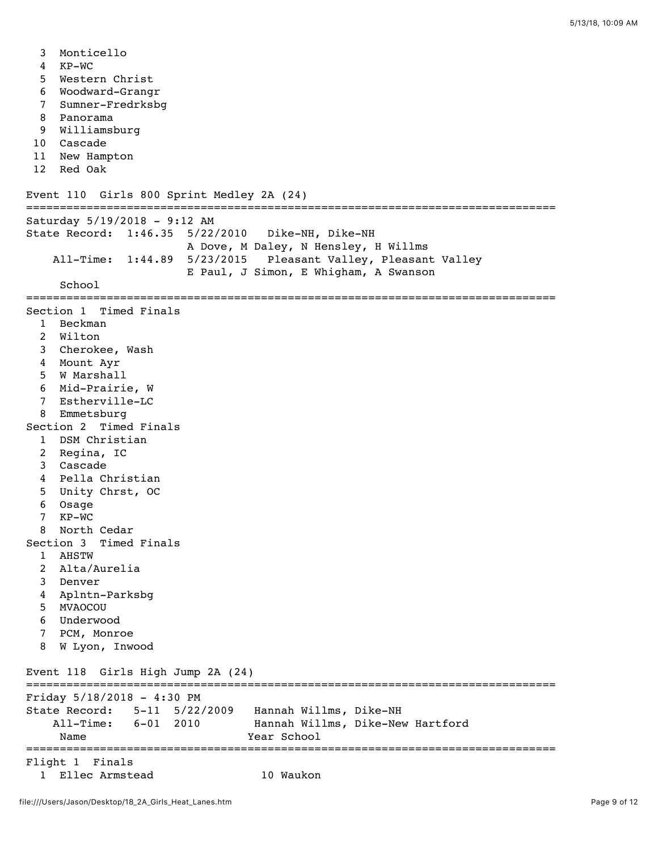- 3 Monticello
- 4 KP-WC
- 5 Western Christ
- 6 Woodward-Grangr
- 7 Sumner-Fredrksbg
- 8 Panorama
- 9 Williamsburg
- 10 Cascade
- 11 New Hampton
- 12 Red Oak

```
Event 110 Girls 800 Sprint Medley 2A (24)
```

```
===============================================================================
Saturday 5/19/2018 - 9:12 AM
State Record: 1:46.35 5/22/2010 Dike-NH, Dike-NH 
                        A Dove, M Daley, N Hensley, H Willms 
    All-Time: 1:44.89 5/23/2015 Pleasant Valley, Pleasant Valley 
                        E Paul, J Simon, E Whigham, A Swanson 
     School 
===============================================================================
Section 1 Timed Finals
   1 Beckman 
  2 Wilton 
   3 Cherokee, Wash 
   4 Mount Ayr 
   5 W Marshall 
   6 Mid-Prairie, W 
   7 Estherville-LC 
   8 Emmetsburg 
Section 2 Timed Finals
  1 DSM Christian 
   2 Regina, IC 
   3 Cascade 
   4 Pella Christian 
   5 Unity Chrst, OC 
   6 Osage 
   7 KP-WC 
   8 North Cedar 
Section 3 Timed Finals
   1 AHSTW 
   2 Alta/Aurelia 
   3 Denver 
   4 Aplntn-Parksbg 
   5 MVAOCOU 
   6 Underwood 
   7 PCM, Monroe 
   8 W Lyon, Inwood 
Event 118 Girls High Jump 2A (24)
===============================================================================
Friday 5/18/2018 - 4:30 PM
State Record: 5-11 5/22/2009 Hannah Willms, Dike-NH 
    All-Time: 6-01 2010 Hannah Willms, Dike-New Hartford 
    Name Year School
===============================================================================
Flight 1 Finals
  1 Ellec Armstead 10 Waukon
```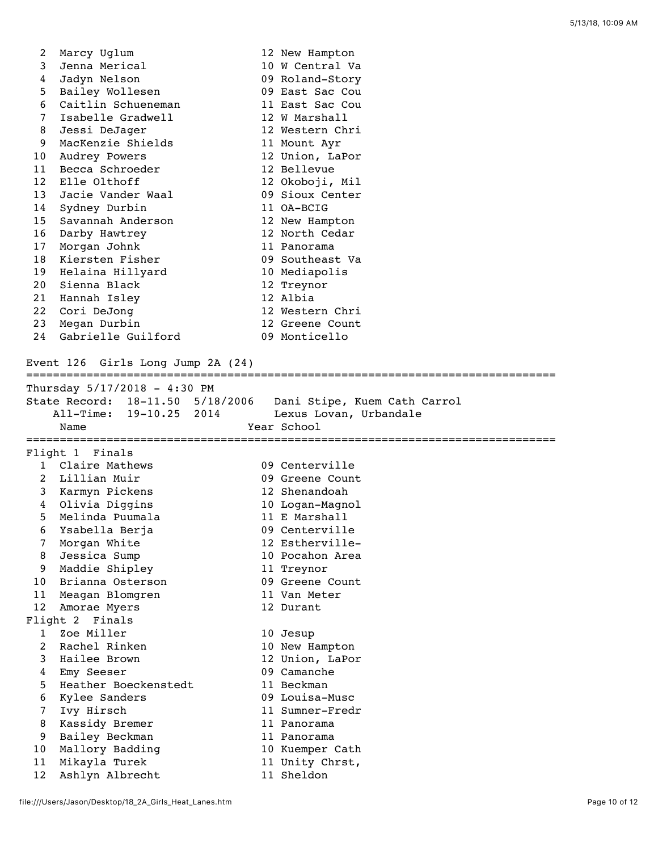| 2              | Marcy Uglum                       | 12 New Hampton                                                |
|----------------|-----------------------------------|---------------------------------------------------------------|
| 3              | Jenna Merical                     | 10 W Central Va                                               |
| 4              | Jadyn Nelson                      | 09 Roland-Story                                               |
| 5              | Bailey Wollesen                   | 09 East Sac Cou                                               |
| 6              | Caitlin Schueneman                | 11 East Sac Cou                                               |
| 7              | Isabelle Gradwell                 | 12 W Marshall                                                 |
| 8              | Jessi DeJager                     | 12 Western Chri                                               |
| 9              | MacKenzie Shields                 | 11 Mount Ayr                                                  |
| 10             | Audrey Powers                     | 12 Union, LaPor                                               |
| 11             | Becca Schroeder                   | 12 Bellevue                                                   |
| 12             | Elle Olthoff                      | 12 Okoboji, Mil                                               |
| 13             | Jacie Vander Waal                 | 09 Sioux Center                                               |
| 14             | Sydney Durbin                     | 11 OA-BCIG                                                    |
| 15             | Savannah Anderson                 | 12 New Hampton                                                |
| 16             | Darby Hawtrey                     | 12 North Cedar                                                |
| 17             | Morgan Johnk                      | 11 Panorama                                                   |
| 18             | Kiersten Fisher                   | 09 Southeast Va                                               |
| 19             | Helaina Hillyard                  | 10 Mediapolis                                                 |
| 20             | Sienna Black                      | 12 Treynor                                                    |
| 21             | Hannah Isley                      | 12 Albia                                                      |
| 22             | Cori DeJong                       | 12 Western Chri                                               |
| 23             | Megan Durbin                      | 12 Greene Count                                               |
| 24             | Gabrielle Guilford                | 09 Monticello                                                 |
|                |                                   |                                                               |
|                | Event 126 Girls Long Jump 2A (24) |                                                               |
|                |                                   |                                                               |
|                | Thursday $5/17/2018 - 4:30$ PM    |                                                               |
|                |                                   | State Record: 18-11.50 5/18/2006 Dani Stipe, Kuem Cath Carrol |
|                | All-Time: 19-10.25 2014           | Lexus Lovan, Urbandale                                        |
|                | Name                              | Year School                                                   |
|                | Flight 1 Finals                   |                                                               |
|                | 1 Claire Mathews                  | 09 Centerville                                                |
|                | 2 Lillian Muir                    | 09 Greene Count                                               |
|                | 3 Karmyn Pickens                  | 12 Shenandoah                                                 |
| $\overline{4}$ | Olivia Diggins                    |                                                               |
| 5              | Melinda Puumala                   | 10 Logan-Magnol<br>11 E Marshall                              |
| 6              | Ysabella Berja                    | 09 Centerville                                                |
| 7              | Morgan White                      | 12 Estherville-                                               |
| 8              | Jessica Sump                      | 10 Pocahon Area                                               |
| 9              | Maddie Shipley                    |                                                               |
| 10             | Brianna Osterson                  | 11 Treynor<br>09 Greene Count                                 |
| 11             |                                   |                                                               |
| 12             |                                   |                                                               |
|                | Meagan Blomgren                   | 11 Van Meter                                                  |
|                | Amorae Myers                      | 12 Durant                                                     |
|                | Flight 2 Finals                   |                                                               |
| 1              | Zoe Miller                        | 10 Jesup                                                      |
| 2              | Rachel Rinken                     | 10 New Hampton                                                |
| 3              | Hailee Brown                      | 12 Union, LaPor                                               |
| 4              | Emy Seeser                        | 09 Camanche                                                   |
| 5              | Heather Boeckenstedt              | 11 Beckman                                                    |
| 6              | Kylee Sanders                     | 09 Louisa-Musc                                                |
| 7              | Ivy Hirsch                        | 11 Sumner-Fredr                                               |
| 8              | Kassidy Bremer                    | 11 Panorama                                                   |
| 9              | Bailey Beckman                    | 11 Panorama                                                   |
| 10             | Mallory Badding                   | 10 Kuemper Cath                                               |
| 11<br>12       | Mikayla Turek<br>Ashlyn Albrecht  | 11 Unity Chrst,<br>11 Sheldon                                 |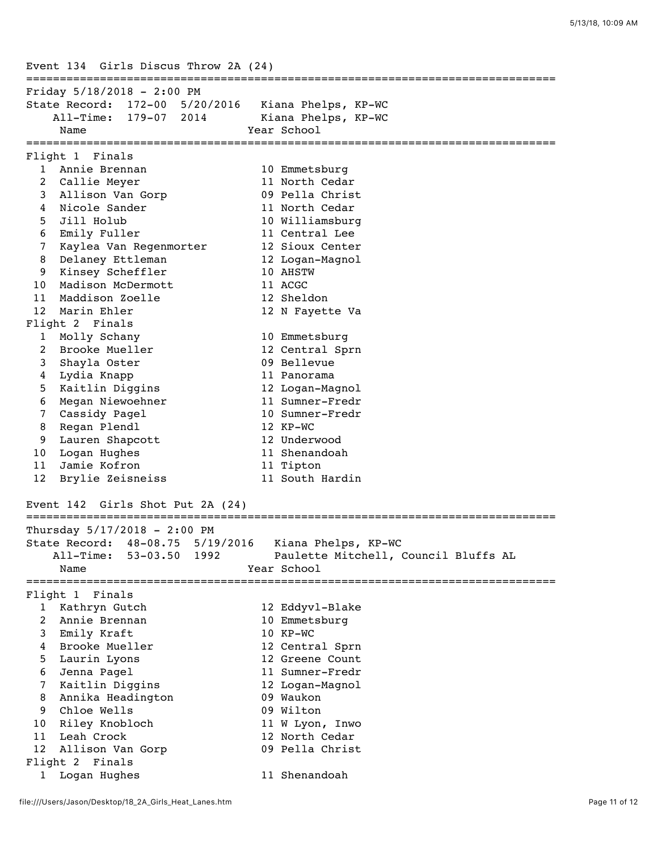Event 134 Girls Discus Throw 2A (24) =============================================================================== Friday 5/18/2018 - 2:00 PM State Record: 172-00 5/20/2016 Kiana Phelps, KP-WC All-Time: 179-07 2014 Kiana Phelps, KP-WC Name **Year** School =============================================================================== Flight 1 Finals 1 Annie Brennan 10 Emmetsburg 2 Callie Meyer 11 North Cedar 3 Allison Van Gorp 09 Pella Christ 4 Nicole Sander 11 North Cedar 5 Jill Holub 10 Williamsburg 6 Emily Fuller 11 Central Lee 7 Kaylea Van Regenmorter 12 Sioux Center 8 Delaney Ettleman 12 Logan-Magnol 9 Kinsey Scheffler 10 AHSTW 10 Madison McDermott 11 ACGC 11 Maddison Zoelle 12 Sheldon 12 Marin Ehler 12 N Fayette Va Flight 2 Finals 1 Molly Schany 10 Emmetsburg 2 Brooke Mueller 12 Central Sprn 3 Shayla Oster 09 Bellevue 4 Lydia Knapp 11 Panorama 5 Kaitlin Diggins 12 Logan-Magnol 6 Megan Niewoehner 11 Sumner-Fredr 7 Cassidy Pagel 10 Sumner-Fredr 8 Regan Plendl 12 KP-WC 9 Lauren Shapcott 12 Underwood 10 Logan Hughes 11 Shenandoah 11 Jamie Kofron 11 Tipton 12 Brylie Zeisneiss 11 South Hardin Event 142 Girls Shot Put 2A (24) =============================================================================== Thursday 5/17/2018 - 2:00 PM State Record: 48-08.75 5/19/2016 Kiana Phelps, KP-WC All-Time: 53-03.50 1992 Paulette Mitchell, Council Bluffs AL Name Year School =============================================================================== Flight 1 Finals 1 Kathryn Gutch 12 Eddyvl-Blake 2 Annie Brennan 10 Emmetsburg 3 Emily Kraft 10 KP-WC 4 Brooke Mueller 12 Central Sprn 5 Laurin Lyons 12 Greene Count 6 Jenna Pagel 11 Sumner-Fredr 7 Kaitlin Diggins 12 Logan-Magnol 8 Annika Headington 09 Waukon 9 Chloe Wells 609 Wilton 10 Riley Knobloch 11 W Lyon, Inwo 11 Leah Crock 12 North Cedar 12 Allison Van Gorp 09 Pella Christ Flight 2 Finals 1 Logan Hughes 11 Shenandoah